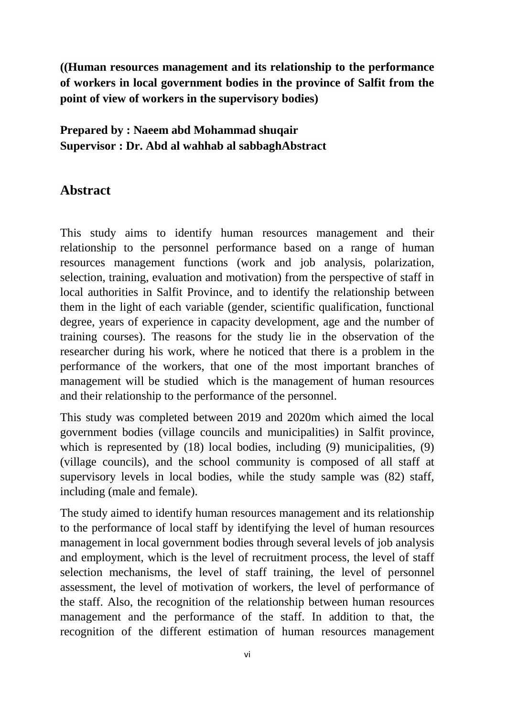**((Human resources management and its relationship to the performance of workers in local government bodies in the province of Salfit from the point of view of workers in the supervisory bodies)**

## **Prepared by : Naeem abd Mohammad shuqair Supervisor : Dr. Abd al wahhab al sabbaghAbstract**

## **Abstract**

This study aims to identify human resources management and their relationship to the personnel performance based on a range of human resources management functions (work and job analysis, polarization, selection, training, evaluation and motivation) from the perspective of staff in local authorities in Salfit Province, and to identify the relationship between them in the light of each variable (gender, scientific qualification, functional degree, years of experience in capacity development, age and the number of training courses). The reasons for the study lie in the observation of the researcher during his work, where he noticed that there is a problem in the performance of the workers, that one of the most important branches of management will be studied which is the management of human resources and their relationship to the performance of the personnel.

This study was completed between 2019 and 2020m which aimed the local government bodies (village councils and municipalities) in Salfit province, which is represented by (18) local bodies, including (9) municipalities, (9) (village councils), and the school community is composed of all staff at supervisory levels in local bodies, while the study sample was (82) staff, including (male and female).

The study aimed to identify human resources management and its relationship to the performance of local staff by identifying the level of human resources management in local government bodies through several levels of job analysis and employment, which is the level of recruitment process, the level of staff selection mechanisms, the level of staff training, the level of personnel assessment, the level of motivation of workers, the level of performance of the staff. Also, the recognition of the relationship between human resources management and the performance of the staff. In addition to that, the recognition of the different estimation of human resources management